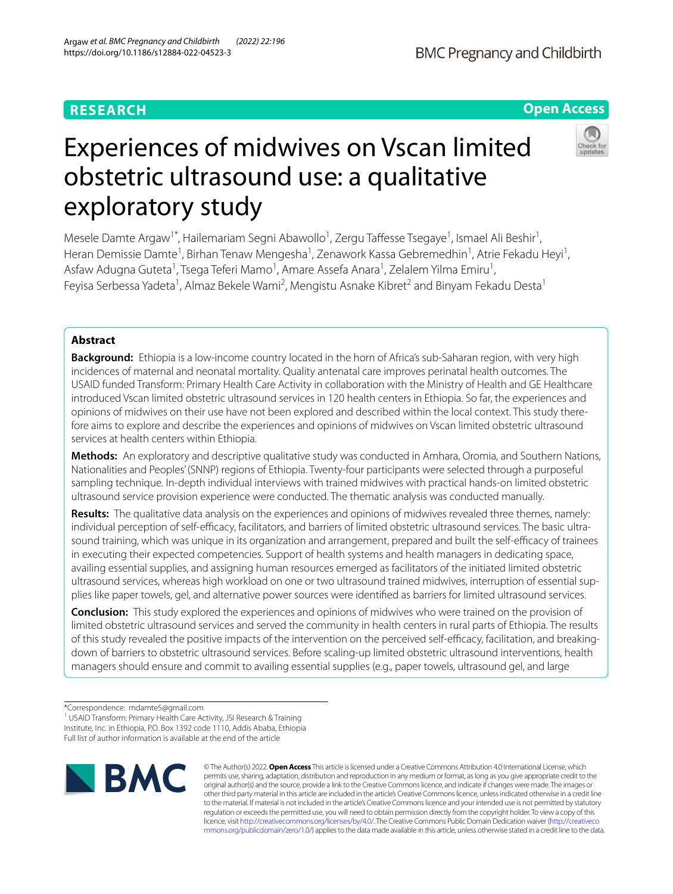# **RESEARCH**

# **Open Access**



# Experiences of midwives on Vscan limited obstetric ultrasound use: a qualitative exploratory study

Mesele Damte Argaw<sup>1\*</sup>, Hailemariam Segni Abawollo<sup>1</sup>, Zergu Taffesse Tsegaye<sup>1</sup>, Ismael Ali Beshir<sup>1</sup>, Heran Demissie Damte<sup>1</sup>, Birhan Tenaw Mengesha<sup>1</sup>, Zenawork Kassa Gebremedhin<sup>1</sup>, Atrie Fekadu Heyi<sup>1</sup>, Asfaw Adugna Guteta<sup>1</sup>, Tsega Teferi Mamo<sup>1</sup>, Amare Assefa Anara<sup>1</sup>, Zelalem Yilma Emiru<sup>1</sup>, Feyisa Serbessa Yadeta<sup>1</sup>, Almaz Bekele Wami<sup>2</sup>, Mengistu Asnake Kibret<sup>2</sup> and Binyam Fekadu Desta<sup>1</sup>

# **Abstract**

**Background:** Ethiopia is a low-income country located in the horn of Africa's sub-Saharan region, with very high incidences of maternal and neonatal mortality. Quality antenatal care improves perinatal health outcomes. The USAID funded Transform: Primary Health Care Activity in collaboration with the Ministry of Health and GE Healthcare introduced Vscan limited obstetric ultrasound services in 120 health centers in Ethiopia. So far, the experiences and opinions of midwives on their use have not been explored and described within the local context. This study therefore aims to explore and describe the experiences and opinions of midwives on Vscan limited obstetric ultrasound services at health centers within Ethiopia.

**Methods:** An exploratory and descriptive qualitative study was conducted in Amhara, Oromia, and Southern Nations, Nationalities and Peoples' (SNNP) regions of Ethiopia. Twenty-four participants were selected through a purposeful sampling technique. In-depth individual interviews with trained midwives with practical hands-on limited obstetric ultrasound service provision experience were conducted. The thematic analysis was conducted manually.

**Results:** The qualitative data analysis on the experiences and opinions of midwives revealed three themes, namely: individual perception of self-efficacy, facilitators, and barriers of limited obstetric ultrasound services. The basic ultrasound training, which was unique in its organization and arrangement, prepared and built the self-efficacy of trainees in executing their expected competencies. Support of health systems and health managers in dedicating space, availing essential supplies, and assigning human resources emerged as facilitators of the initiated limited obstetric ultrasound services, whereas high workload on one or two ultrasound trained midwives, interruption of essential supplies like paper towels, gel, and alternative power sources were identifed as barriers for limited ultrasound services.

**Conclusion:** This study explored the experiences and opinions of midwives who were trained on the provision of limited obstetric ultrasound services and served the community in health centers in rural parts of Ethiopia. The results of this study revealed the positive impacts of the intervention on the perceived self-efficacy, facilitation, and breakingdown of barriers to obstetric ultrasound services. Before scaling-up limited obstetric ultrasound interventions, health managers should ensure and commit to availing essential supplies (e.g., paper towels, ultrasound gel, and large

<sup>1</sup> USAID Transform: Primary Health Care Activity, JSI Research & Training Institute, Inc. in Ethiopia, P.O. Box 1392 code 1110, Addis Ababa, Ethiopia Full list of author information is available at the end of the article



© The Author(s) 2022. **Open Access** This article is licensed under a Creative Commons Attribution 4.0 International License, which permits use, sharing, adaptation, distribution and reproduction in any medium or format, as long as you give appropriate credit to the original author(s) and the source, provide a link to the Creative Commons licence, and indicate if changes were made. The images or other third party material in this article are included in the article's Creative Commons licence, unless indicated otherwise in a credit line to the material. If material is not included in the article's Creative Commons licence and your intended use is not permitted by statutory regulation or exceeds the permitted use, you will need to obtain permission directly from the copyright holder. To view a copy of this licence, visit [http://creativecommons.org/licenses/by/4.0/.](http://creativecommons.org/licenses/by/4.0/) The Creative Commons Public Domain Dedication waiver ([http://creativeco](http://creativecommons.org/publicdomain/zero/1.0/) [mmons.org/publicdomain/zero/1.0/](http://creativecommons.org/publicdomain/zero/1.0/)) applies to the data made available in this article, unless otherwise stated in a credit line to the data.

<sup>\*</sup>Correspondence: mdamte5@gmail.com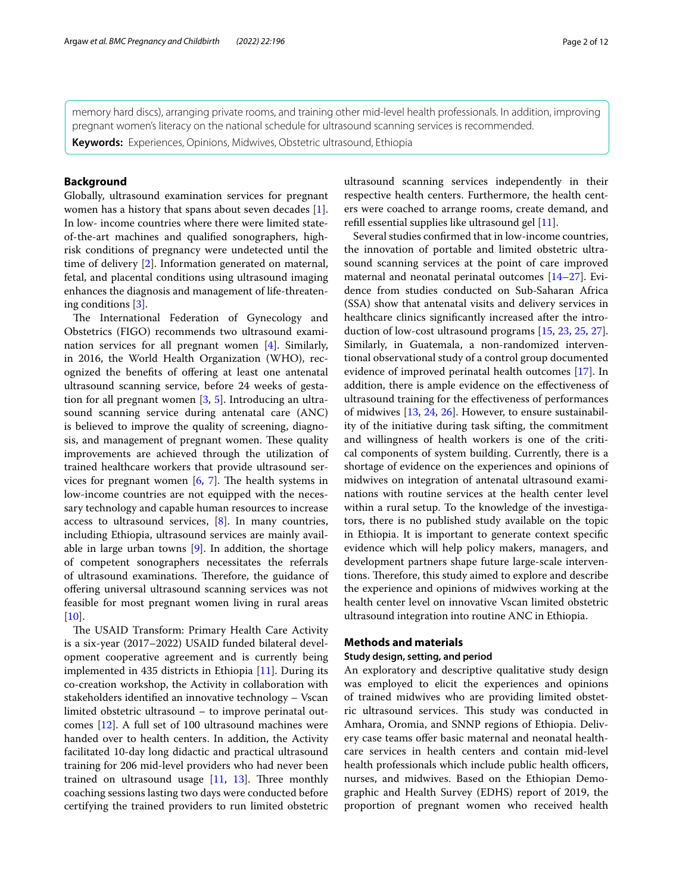memory hard discs), arranging private rooms, and training other mid-level health professionals. In addition, improving pregnant women's literacy on the national schedule for ultrasound scanning services is recommended.

**Keywords:** Experiences, Opinions, Midwives, Obstetric ultrasound, Ethiopia

# **Background**

Globally, ultrasound examination services for pregnant women has a history that spans about seven decades [\[1](#page-10-0)]. In low- income countries where there were limited stateof-the-art machines and qualifed sonographers, highrisk conditions of pregnancy were undetected until the time of delivery [\[2](#page-10-1)]. Information generated on maternal, fetal, and placental conditions using ultrasound imaging enhances the diagnosis and management of life-threatening conditions [\[3](#page-10-2)].

The International Federation of Gynecology and Obstetrics (FIGO) recommends two ultrasound examination services for all pregnant women [\[4](#page-10-3)]. Similarly, in 2016, the World Health Organization (WHO), recognized the benefts of ofering at least one antenatal ultrasound scanning service, before 24 weeks of gestation for all pregnant women [[3,](#page-10-2) [5\]](#page-10-4). Introducing an ultrasound scanning service during antenatal care (ANC) is believed to improve the quality of screening, diagnosis, and management of pregnant women. These quality improvements are achieved through the utilization of trained healthcare workers that provide ultrasound services for pregnant women  $[6, 7]$  $[6, 7]$  $[6, 7]$  $[6, 7]$  $[6, 7]$ . The health systems in low-income countries are not equipped with the necessary technology and capable human resources to increase access to ultrasound services, [\[8\]](#page-10-7). In many countries, including Ethiopia, ultrasound services are mainly available in large urban towns [[9\]](#page-10-8). In addition, the shortage of competent sonographers necessitates the referrals of ultrasound examinations. Therefore, the guidance of ofering universal ultrasound scanning services was not feasible for most pregnant women living in rural areas  $[10]$  $[10]$ .

The USAID Transform: Primary Health Care Activity is a six-year (2017–2022) USAID funded bilateral development cooperative agreement and is currently being implemented in 435 districts in Ethiopia [\[11](#page-10-10)]. During its co-creation workshop, the Activity in collaboration with stakeholders identifed an innovative technology – Vscan limited obstetric ultrasound – to improve perinatal outcomes [\[12](#page-10-11)]. A full set of 100 ultrasound machines were handed over to health centers. In addition, the Activity facilitated 10-day long didactic and practical ultrasound training for 206 mid-level providers who had never been trained on ultrasound usage  $[11, 13]$  $[11, 13]$  $[11, 13]$  $[11, 13]$  $[11, 13]$ . Three monthly coaching sessions lasting two days were conducted before certifying the trained providers to run limited obstetric

ultrasound scanning services independently in their respective health centers. Furthermore, the health centers were coached to arrange rooms, create demand, and refll essential supplies like ultrasound gel [\[11](#page-10-10)].

Several studies confrmed that in low-income countries, the innovation of portable and limited obstetric ultrasound scanning services at the point of care improved maternal and neonatal perinatal outcomes [\[14–](#page-10-13)[27\]](#page-10-14). Evidence from studies conducted on Sub-Saharan Africa (SSA) show that antenatal visits and delivery services in healthcare clinics signifcantly increased after the introduction of low-cost ultrasound programs [\[15](#page-10-15), [23,](#page-10-16) [25](#page-10-17), [27](#page-10-14)]. Similarly, in Guatemala, a non-randomized interventional observational study of a control group documented evidence of improved perinatal health outcomes [\[17](#page-10-18)]. In addition, there is ample evidence on the efectiveness of ultrasound training for the efectiveness of performances of midwives [[13](#page-10-12), [24](#page-10-19), [26](#page-10-20)]. However, to ensure sustainability of the initiative during task sifting, the commitment and willingness of health workers is one of the critical components of system building. Currently, there is a shortage of evidence on the experiences and opinions of midwives on integration of antenatal ultrasound examinations with routine services at the health center level within a rural setup. To the knowledge of the investigators, there is no published study available on the topic in Ethiopia. It is important to generate context specifc evidence which will help policy makers, managers, and development partners shape future large-scale interventions. Therefore, this study aimed to explore and describe the experience and opinions of midwives working at the health center level on innovative Vscan limited obstetric ultrasound integration into routine ANC in Ethiopia.

## **Methods and materials**

## **Study design, setting, and period**

An exploratory and descriptive qualitative study design was employed to elicit the experiences and opinions of trained midwives who are providing limited obstetric ultrasound services. This study was conducted in Amhara, Oromia, and SNNP regions of Ethiopia. Delivery case teams offer basic maternal and neonatal healthcare services in health centers and contain mid-level health professionals which include public health officers, nurses, and midwives. Based on the Ethiopian Demographic and Health Survey (EDHS) report of 2019, the proportion of pregnant women who received health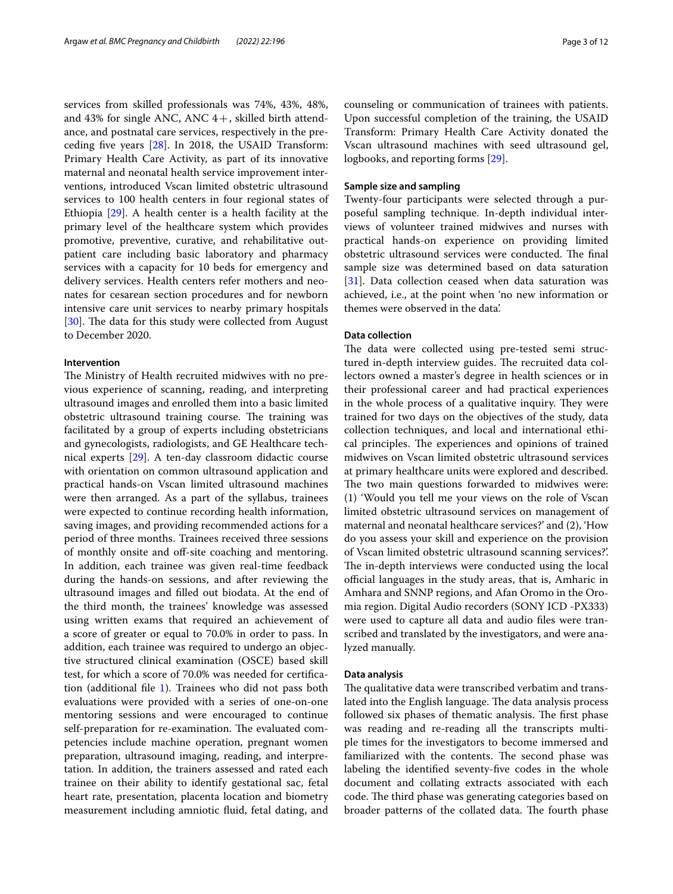services from skilled professionals was 74%, 43%, 48%, and 43% for single ANC, ANC  $4+$ , skilled birth attendance, and postnatal care services, respectively in the preceding fve years [[28\]](#page-10-21). In 2018, the USAID Transform: Primary Health Care Activity, as part of its innovative maternal and neonatal health service improvement interventions, introduced Vscan limited obstetric ultrasound services to 100 health centers in four regional states of Ethiopia [[29\]](#page-10-22). A health center is a health facility at the primary level of the healthcare system which provides promotive, preventive, curative, and rehabilitative outpatient care including basic laboratory and pharmacy services with a capacity for 10 beds for emergency and delivery services. Health centers refer mothers and neonates for cesarean section procedures and for newborn intensive care unit services to nearby primary hospitals [[30\]](#page-10-23). The data for this study were collected from August to December 2020.

#### **Intervention**

The Ministry of Health recruited midwives with no previous experience of scanning, reading, and interpreting ultrasound images and enrolled them into a basic limited obstetric ultrasound training course. The training was facilitated by a group of experts including obstetricians and gynecologists, radiologists, and GE Healthcare technical experts [\[29](#page-10-22)]. A ten-day classroom didactic course with orientation on common ultrasound application and practical hands-on Vscan limited ultrasound machines were then arranged. As a part of the syllabus, trainees were expected to continue recording health information, saving images, and providing recommended actions for a period of three months. Trainees received three sessions of monthly onsite and off-site coaching and mentoring. In addition, each trainee was given real-time feedback during the hands-on sessions, and after reviewing the ultrasound images and flled out biodata. At the end of the third month, the trainees' knowledge was assessed using written exams that required an achievement of a score of greater or equal to 70.0% in order to pass. In addition, each trainee was required to undergo an objective structured clinical examination (OSCE) based skill test, for which a score of 70.0% was needed for certifcation (additional fle [1](#page-9-0)). Trainees who did not pass both evaluations were provided with a series of one-on-one mentoring sessions and were encouraged to continue self-preparation for re-examination. The evaluated competencies include machine operation, pregnant women preparation, ultrasound imaging, reading, and interpretation. In addition, the trainers assessed and rated each trainee on their ability to identify gestational sac, fetal heart rate, presentation, placenta location and biometry measurement including amniotic fuid, fetal dating, and counseling or communication of trainees with patients. Upon successful completion of the training, the USAID Transform: Primary Health Care Activity donated the Vscan ultrasound machines with seed ultrasound gel, logbooks, and reporting forms [\[29](#page-10-22)].

# **Sample size and sampling**

Twenty-four participants were selected through a purposeful sampling technique. In-depth individual interviews of volunteer trained midwives and nurses with practical hands-on experience on providing limited obstetric ultrasound services were conducted. The final sample size was determined based on data saturation [[31\]](#page-10-24). Data collection ceased when data saturation was achieved, i.e., at the point when 'no new information or themes were observed in the data'.

# **Data collection**

The data were collected using pre-tested semi structured in-depth interview guides. The recruited data collectors owned a master's degree in health sciences or in their professional career and had practical experiences in the whole process of a qualitative inquiry. They were trained for two days on the objectives of the study, data collection techniques, and local and international ethical principles. The experiences and opinions of trained midwives on Vscan limited obstetric ultrasound services at primary healthcare units were explored and described. The two main questions forwarded to midwives were: (1) 'Would you tell me your views on the role of Vscan limited obstetric ultrasound services on management of maternal and neonatal healthcare services?' and (2), 'How do you assess your skill and experience on the provision of Vscan limited obstetric ultrasound scanning services?'. The in-depth interviews were conducted using the local official languages in the study areas, that is, Amharic in Amhara and SNNP regions, and Afan Oromo in the Oromia region. Digital Audio recorders (SONY ICD -PX333) were used to capture all data and audio fles were transcribed and translated by the investigators, and were analyzed manually.

# **Data analysis**

The qualitative data were transcribed verbatim and translated into the English language. The data analysis process followed six phases of thematic analysis. The first phase was reading and re-reading all the transcripts multiple times for the investigators to become immersed and familiarized with the contents. The second phase was labeling the identifed seventy-fve codes in the whole document and collating extracts associated with each code. The third phase was generating categories based on broader patterns of the collated data. The fourth phase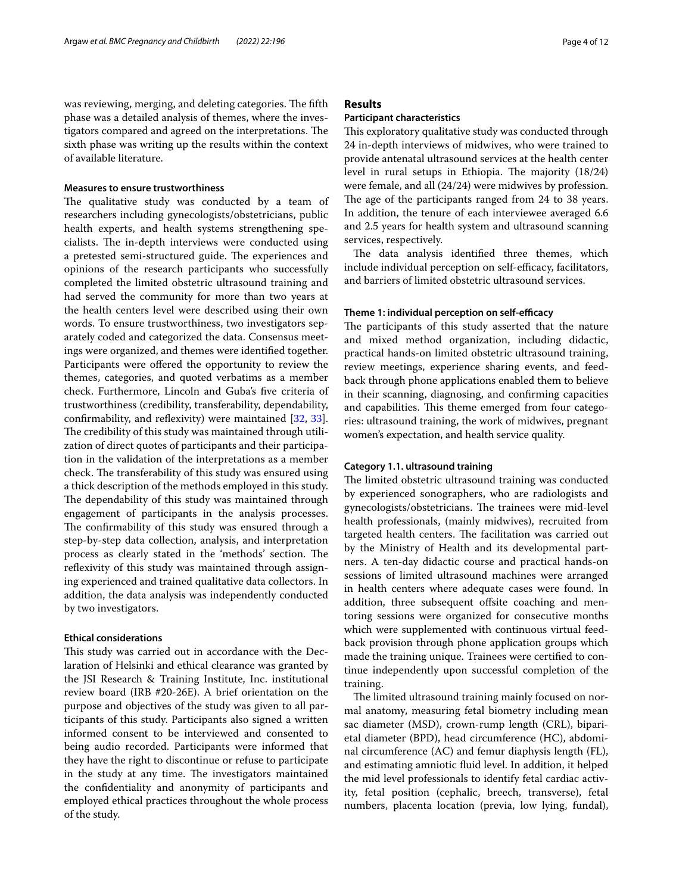#### **Measures to ensure trustworthiness**

The qualitative study was conducted by a team of researchers including gynecologists/obstetricians, public health experts, and health systems strengthening specialists. The in-depth interviews were conducted using a pretested semi-structured guide. The experiences and opinions of the research participants who successfully completed the limited obstetric ultrasound training and had served the community for more than two years at the health centers level were described using their own words. To ensure trustworthiness, two investigators separately coded and categorized the data. Consensus meetings were organized, and themes were identifed together. Participants were offered the opportunity to review the themes, categories, and quoted verbatims as a member check. Furthermore, Lincoln and Guba's fve criteria of trustworthiness (credibility, transferability, dependability, confrmability, and refexivity) were maintained [[32,](#page-10-25) [33](#page-10-26)]. The credibility of this study was maintained through utilization of direct quotes of participants and their participation in the validation of the interpretations as a member check. The transferability of this study was ensured using a thick description of the methods employed in this study. The dependability of this study was maintained through engagement of participants in the analysis processes. The confirmability of this study was ensured through a step-by-step data collection, analysis, and interpretation process as clearly stated in the 'methods' section. The reflexivity of this study was maintained through assigning experienced and trained qualitative data collectors. In addition, the data analysis was independently conducted by two investigators.

#### **Ethical considerations**

This study was carried out in accordance with the Declaration of Helsinki and ethical clearance was granted by the JSI Research & Training Institute, Inc. institutional review board (IRB #20-26E). A brief orientation on the purpose and objectives of the study was given to all participants of this study. Participants also signed a written informed consent to be interviewed and consented to being audio recorded. Participants were informed that they have the right to discontinue or refuse to participate in the study at any time. The investigators maintained the confdentiality and anonymity of participants and employed ethical practices throughout the whole process of the study.

# **Results**

#### **Participant characteristics**

This exploratory qualitative study was conducted through 24 in-depth interviews of midwives, who were trained to provide antenatal ultrasound services at the health center level in rural setups in Ethiopia. The majority  $(18/24)$ were female, and all (24/24) were midwives by profession. The age of the participants ranged from 24 to 38 years. In addition, the tenure of each interviewee averaged 6.6 and 2.5 years for health system and ultrasound scanning services, respectively.

The data analysis identified three themes, which include individual perception on self-efficacy, facilitators, and barriers of limited obstetric ultrasound services.

# Theme 1: individual perception on self-efficacy

The participants of this study asserted that the nature and mixed method organization, including didactic, practical hands-on limited obstetric ultrasound training, review meetings, experience sharing events, and feedback through phone applications enabled them to believe in their scanning, diagnosing, and confrming capacities and capabilities. This theme emerged from four categories: ultrasound training, the work of midwives, pregnant women's expectation, and health service quality.

#### **Category 1.1. ultrasound training**

The limited obstetric ultrasound training was conducted by experienced sonographers, who are radiologists and gynecologists/obstetricians. The trainees were mid-level health professionals, (mainly midwives), recruited from targeted health centers. The facilitation was carried out by the Ministry of Health and its developmental partners. A ten-day didactic course and practical hands-on sessions of limited ultrasound machines were arranged in health centers where adequate cases were found. In addition, three subsequent offsite coaching and mentoring sessions were organized for consecutive months which were supplemented with continuous virtual feedback provision through phone application groups which made the training unique. Trainees were certifed to continue independently upon successful completion of the training.

The limited ultrasound training mainly focused on normal anatomy, measuring fetal biometry including mean sac diameter (MSD), crown-rump length (CRL), biparietal diameter (BPD), head circumference (HC), abdominal circumference (AC) and femur diaphysis length (FL), and estimating amniotic fuid level. In addition, it helped the mid level professionals to identify fetal cardiac activity, fetal position (cephalic, breech, transverse), fetal numbers, placenta location (previa, low lying, fundal),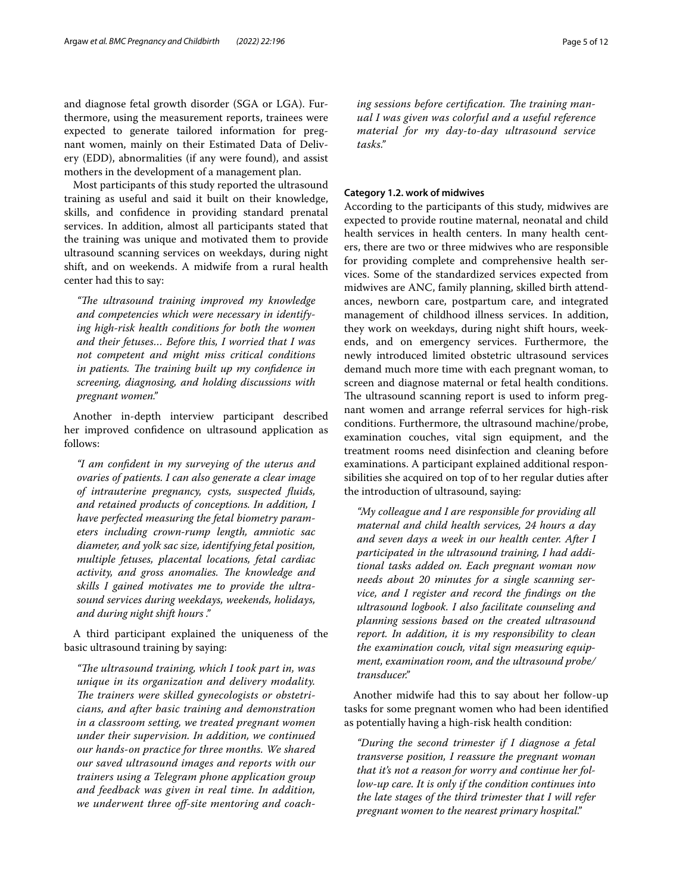and diagnose fetal growth disorder (SGA or LGA). Furthermore, using the measurement reports, trainees were expected to generate tailored information for pregnant women, mainly on their Estimated Data of Delivery (EDD), abnormalities (if any were found), and assist mothers in the development of a management plan.

Most participants of this study reported the ultrasound training as useful and said it built on their knowledge, skills, and confdence in providing standard prenatal services. In addition, almost all participants stated that the training was unique and motivated them to provide ultrasound scanning services on weekdays, during night shift, and on weekends. A midwife from a rural health center had this to say:

*"Te ultrasound training improved my knowledge and competencies which were necessary in identifying high-risk health conditions for both the women and their fetuses… Before this, I worried that I was not competent and might miss critical conditions*  in patients. The training built up my confidence in *screening, diagnosing, and holding discussions with pregnant women."*

Another in-depth interview participant described her improved confdence on ultrasound application as follows:

*"I am confdent in my surveying of the uterus and ovaries of patients. I can also generate a clear image of intrauterine pregnancy, cysts, suspected fuids, and retained products of conceptions. In addition, I have perfected measuring the fetal biometry parameters including crown-rump length, amniotic sac diameter, and yolk sac size, identifying fetal position, multiple fetuses, placental locations, fetal cardiac*  activity, and gross anomalies. The knowledge and *skills I gained motivates me to provide the ultrasound services during weekdays, weekends, holidays, and during night shift hours ."*

A third participant explained the uniqueness of the basic ultrasound training by saying:

*"Te ultrasound training, which I took part in, was unique in its organization and delivery modality.*  The trainers were skilled gynecologists or obstetri*cians, and after basic training and demonstration in a classroom setting, we treated pregnant women under their supervision. In addition, we continued our hands-on practice for three months. We shared our saved ultrasound images and reports with our trainers using a Telegram phone application group and feedback was given in real time. In addition,*  we underwent three off-site mentoring and coaching sessions before certification. The training man*ual I was given was colorful and a useful reference material for my day-to-day ultrasound service tasks."*

# **Category 1.2. work of midwives**

According to the participants of this study, midwives are expected to provide routine maternal, neonatal and child health services in health centers. In many health centers, there are two or three midwives who are responsible for providing complete and comprehensive health services. Some of the standardized services expected from midwives are ANC, family planning, skilled birth attendances, newborn care, postpartum care, and integrated management of childhood illness services. In addition, they work on weekdays, during night shift hours, weekends, and on emergency services. Furthermore, the newly introduced limited obstetric ultrasound services demand much more time with each pregnant woman, to screen and diagnose maternal or fetal health conditions. The ultrasound scanning report is used to inform pregnant women and arrange referral services for high-risk conditions. Furthermore, the ultrasound machine/probe, examination couches, vital sign equipment, and the treatment rooms need disinfection and cleaning before examinations. A participant explained additional responsibilities she acquired on top of to her regular duties after the introduction of ultrasound, saying:

*"My colleague and I are responsible for providing all maternal and child health services, 24 hours a day and seven days a week in our health center. After I participated in the ultrasound training, I had additional tasks added on. Each pregnant woman now needs about 20 minutes for a single scanning service, and I register and record the fndings on the ultrasound logbook. I also facilitate counseling and planning sessions based on the created ultrasound report. In addition, it is my responsibility to clean the examination couch, vital sign measuring equipment, examination room, and the ultrasound probe/ transducer."*

Another midwife had this to say about her follow-up tasks for some pregnant women who had been identifed as potentially having a high-risk health condition:

*"During the second trimester if I diagnose a fetal transverse position, I reassure the pregnant woman that it's not a reason for worry and continue her follow-up care. It is only if the condition continues into the late stages of the third trimester that I will refer pregnant women to the nearest primary hospital."*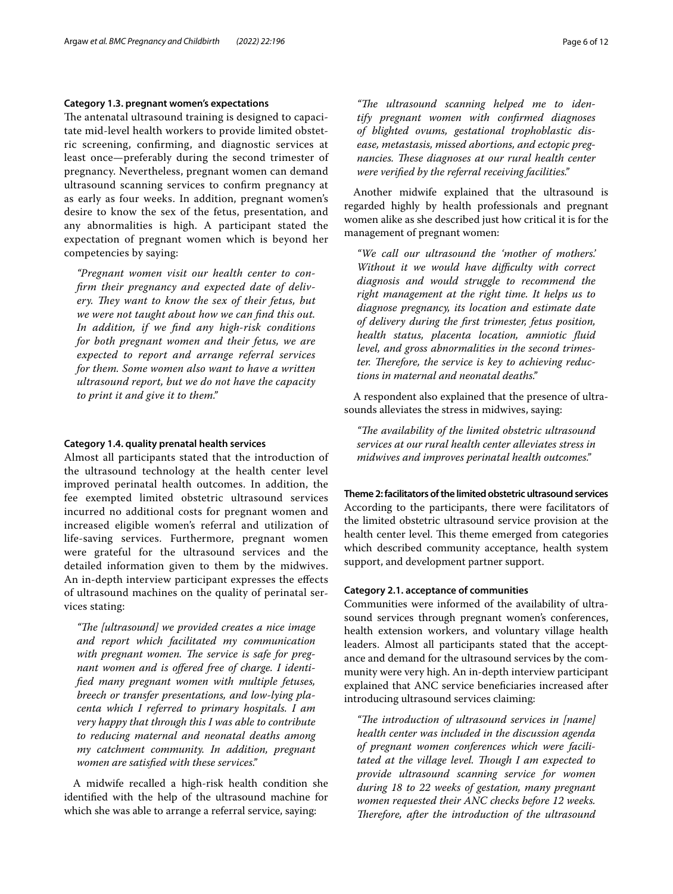#### **Category 1.3. pregnant women's expectations**

The antenatal ultrasound training is designed to capacitate mid-level health workers to provide limited obstetric screening, confrming, and diagnostic services at least once—preferably during the second trimester of pregnancy. Nevertheless, pregnant women can demand ultrasound scanning services to confrm pregnancy at as early as four weeks. In addition, pregnant women's desire to know the sex of the fetus, presentation, and any abnormalities is high. A participant stated the expectation of pregnant women which is beyond her competencies by saying:

*"Pregnant women visit our health center to confrm their pregnancy and expected date of deliv*ery. They want to know the sex of their fetus, but *we were not taught about how we can fnd this out. In addition, if we fnd any high-risk conditions for both pregnant women and their fetus, we are expected to report and arrange referral services for them. Some women also want to have a written ultrasound report, but we do not have the capacity to print it and give it to them."*

# **Category 1.4. quality prenatal health services**

Almost all participants stated that the introduction of the ultrasound technology at the health center level improved perinatal health outcomes. In addition, the fee exempted limited obstetric ultrasound services incurred no additional costs for pregnant women and increased eligible women's referral and utilization of life-saving services. Furthermore, pregnant women were grateful for the ultrasound services and the detailed information given to them by the midwives. An in-depth interview participant expresses the efects of ultrasound machines on the quality of perinatal services stating:

"The [ultrasound] we provided creates a nice image *and report which facilitated my communication*  with pregnant women. The service is safe for preg*nant women and is ofered free of charge. I identifed many pregnant women with multiple fetuses, breech or transfer presentations, and low-lying placenta which I referred to primary hospitals. I am very happy that through this I was able to contribute to reducing maternal and neonatal deaths among my catchment community. In addition, pregnant women are satisfed with these services."*

A midwife recalled a high-risk health condition she identifed with the help of the ultrasound machine for which she was able to arrange a referral service, saying:

"The ultrasound scanning helped me to iden*tify pregnant women with confrmed diagnoses of blighted ovums, gestational trophoblastic disease, metastasis, missed abortions, and ectopic pregnancies. These diagnoses at our rural health center were verifed by the referral receiving facilities."*

Another midwife explained that the ultrasound is regarded highly by health professionals and pregnant women alike as she described just how critical it is for the management of pregnant women:

*"We call our ultrasound the 'mother of mothers.' Without it we would have difculty with correct diagnosis and would struggle to recommend the right management at the right time. It helps us to diagnose pregnancy, its location and estimate date of delivery during the frst trimester, fetus position, health status, placenta location, amniotic fuid level, and gross abnormalities in the second trimes*ter. Therefore, the service is key to achieving reduc*tions in maternal and neonatal deaths."*

A respondent also explained that the presence of ultrasounds alleviates the stress in midwives, saying:

"The availability of the limited obstetric ultrasound *services at our rural health center alleviates stress in midwives and improves perinatal health outcomes."*

#### **Theme 2: facilitators of the limited obstetric ultrasound services**

According to the participants, there were facilitators of the limited obstetric ultrasound service provision at the health center level. This theme emerged from categories which described community acceptance, health system support, and development partner support.

# **Category 2.1. acceptance of communities**

Communities were informed of the availability of ultrasound services through pregnant women's conferences, health extension workers, and voluntary village health leaders. Almost all participants stated that the acceptance and demand for the ultrasound services by the community were very high. An in-depth interview participant explained that ANC service benefciaries increased after introducing ultrasound services claiming:

"The introduction of ultrasound services in [name] *health center was included in the discussion agenda of pregnant women conferences which were facili*tated at the village level. Though I am expected to *provide ultrasound scanning service for women during 18 to 22 weeks of gestation, many pregnant women requested their ANC checks before 12 weeks. Therefore, after the introduction of the ultrasound*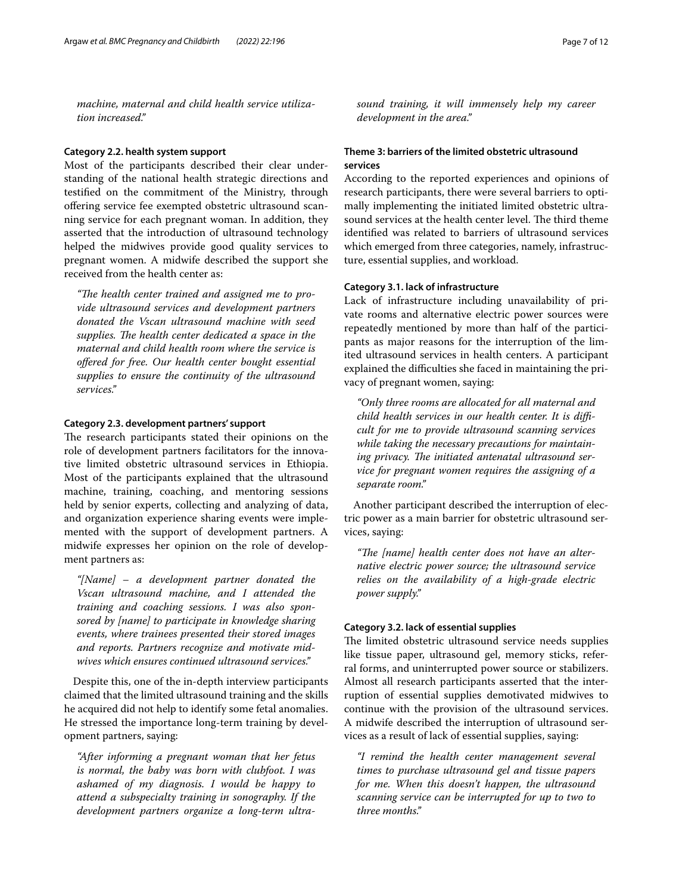*machine, maternal and child health service utilization increased."*

#### **Category 2.2. health system support**

Most of the participants described their clear understanding of the national health strategic directions and testifed on the commitment of the Ministry, through ofering service fee exempted obstetric ultrasound scanning service for each pregnant woman. In addition, they asserted that the introduction of ultrasound technology helped the midwives provide good quality services to pregnant women. A midwife described the support she received from the health center as:

"The health center trained and assigned me to pro*vide ultrasound services and development partners donated the Vscan ultrasound machine with seed*  supplies. The health center dedicated a space in the *maternal and child health room where the service is ofered for free. Our health center bought essential supplies to ensure the continuity of the ultrasound services."*

# **Category 2.3. development partners' support**

The research participants stated their opinions on the role of development partners facilitators for the innovative limited obstetric ultrasound services in Ethiopia. Most of the participants explained that the ultrasound machine, training, coaching, and mentoring sessions held by senior experts, collecting and analyzing of data, and organization experience sharing events were implemented with the support of development partners. A midwife expresses her opinion on the role of development partners as:

*"[Name] – a development partner donated the Vscan ultrasound machine, and I attended the training and coaching sessions. I was also sponsored by [name] to participate in knowledge sharing events, where trainees presented their stored images and reports. Partners recognize and motivate midwives which ensures continued ultrasound services."*

Despite this, one of the in-depth interview participants claimed that the limited ultrasound training and the skills he acquired did not help to identify some fetal anomalies. He stressed the importance long-term training by development partners, saying:

*"After informing a pregnant woman that her fetus is normal, the baby was born with clubfoot. I was ashamed of my diagnosis. I would be happy to attend a subspecialty training in sonography. If the development partners organize a long-term ultra-* *sound training, it will immensely help my career development in the area."*

# **Theme 3: barriers of the limited obstetric ultrasound services**

According to the reported experiences and opinions of research participants, there were several barriers to optimally implementing the initiated limited obstetric ultrasound services at the health center level. The third theme identifed was related to barriers of ultrasound services which emerged from three categories, namely, infrastructure, essential supplies, and workload.

#### **Category 3.1. lack of infrastructure**

Lack of infrastructure including unavailability of private rooms and alternative electric power sources were repeatedly mentioned by more than half of the participants as major reasons for the interruption of the limited ultrasound services in health centers. A participant explained the difficulties she faced in maintaining the privacy of pregnant women, saying:

*"Only three rooms are allocated for all maternal and child health services in our health center. It is difcult for me to provide ultrasound scanning services while taking the necessary precautions for maintain*ing privacy. The initiated antenatal ultrasound ser*vice for pregnant women requires the assigning of a separate room."*

Another participant described the interruption of electric power as a main barrier for obstetric ultrasound services, saying:

"The [name] health center does not have an alter*native electric power source; the ultrasound service relies on the availability of a high-grade electric power supply."*

#### **Category 3.2. lack of essential supplies**

The limited obstetric ultrasound service needs supplies like tissue paper, ultrasound gel, memory sticks, referral forms, and uninterrupted power source or stabilizers. Almost all research participants asserted that the interruption of essential supplies demotivated midwives to continue with the provision of the ultrasound services. A midwife described the interruption of ultrasound services as a result of lack of essential supplies, saying:

*"I remind the health center management several times to purchase ultrasound gel and tissue papers for me. When this doesn't happen, the ultrasound scanning service can be interrupted for up to two to three months."*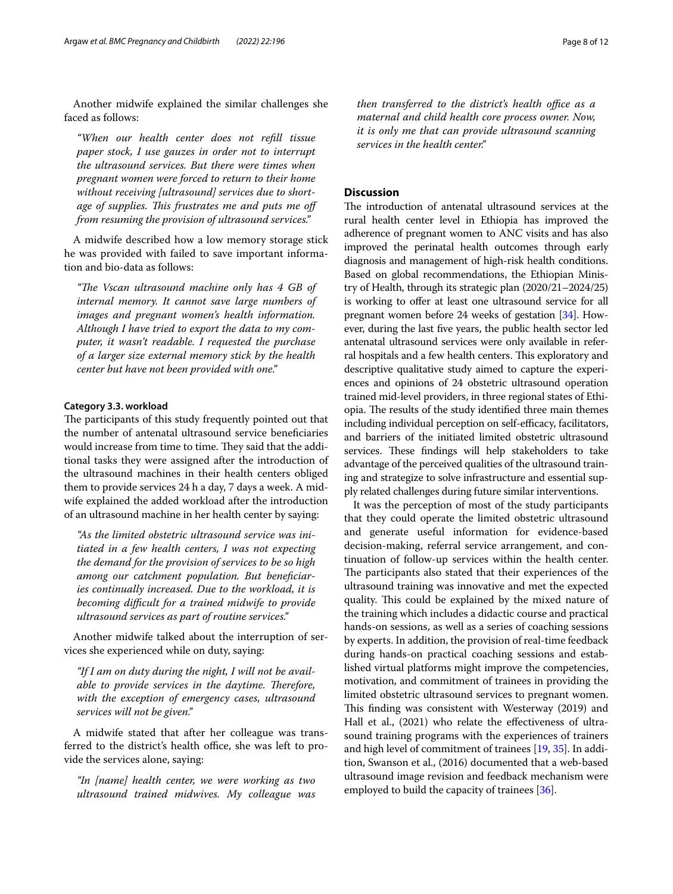Another midwife explained the similar challenges she faced as follows:

*"When our health center does not refll tissue paper stock, I use gauzes in order not to interrupt the ultrasound services. But there were times when pregnant women were forced to return to their home without receiving [ultrasound] services due to shortage of supplies. Tis frustrates me and puts me of from resuming the provision of ultrasound services."*

A midwife described how a low memory storage stick he was provided with failed to save important information and bio-data as follows:

*"Te Vscan ultrasound machine only has 4 GB of internal memory. It cannot save large numbers of images and pregnant women's health information. Although I have tried to export the data to my computer, it wasn't readable. I requested the purchase of a larger size external memory stick by the health center but have not been provided with one."*

# **Category 3.3. workload**

The participants of this study frequently pointed out that the number of antenatal ultrasound service benefciaries would increase from time to time. They said that the additional tasks they were assigned after the introduction of the ultrasound machines in their health centers obliged them to provide services 24 h a day, 7 days a week. A midwife explained the added workload after the introduction of an ultrasound machine in her health center by saying:

*"As the limited obstetric ultrasound service was initiated in a few health centers, I was not expecting the demand for the provision of services to be so high among our catchment population. But benefciaries continually increased. Due to the workload, it is becoming difcult for a trained midwife to provide ultrasound services as part of routine services."*

Another midwife talked about the interruption of services she experienced while on duty, saying:

*"If I am on duty during the night, I will not be available to provide services in the daytime. Therefore, with the exception of emergency cases, ultrasound services will not be given."*

A midwife stated that after her colleague was transferred to the district's health office, she was left to provide the services alone, saying:

*"In [name] health center, we were working as two ultrasound trained midwives. My colleague was*  *then transferred to the district's health office as a maternal and child health core process owner. Now, it is only me that can provide ultrasound scanning services in the health center."*

# **Discussion**

The introduction of antenatal ultrasound services at the rural health center level in Ethiopia has improved the adherence of pregnant women to ANC visits and has also improved the perinatal health outcomes through early diagnosis and management of high-risk health conditions. Based on global recommendations, the Ethiopian Ministry of Health, through its strategic plan (2020/21–2024/25) is working to offer at least one ultrasound service for all pregnant women before 24 weeks of gestation [[34](#page-10-27)]. However, during the last fve years, the public health sector led antenatal ultrasound services were only available in referral hospitals and a few health centers. This exploratory and descriptive qualitative study aimed to capture the experiences and opinions of 24 obstetric ultrasound operation trained mid-level providers, in three regional states of Ethiopia. The results of the study identified three main themes including individual perception on self-efficacy, facilitators, and barriers of the initiated limited obstetric ultrasound services. These findings will help stakeholders to take advantage of the perceived qualities of the ultrasound training and strategize to solve infrastructure and essential supply related challenges during future similar interventions.

It was the perception of most of the study participants that they could operate the limited obstetric ultrasound and generate useful information for evidence-based decision-making, referral service arrangement, and continuation of follow-up services within the health center. The participants also stated that their experiences of the ultrasound training was innovative and met the expected quality. This could be explained by the mixed nature of the training which includes a didactic course and practical hands-on sessions, as well as a series of coaching sessions by experts. In addition, the provision of real-time feedback during hands-on practical coaching sessions and established virtual platforms might improve the competencies, motivation, and commitment of trainees in providing the limited obstetric ultrasound services to pregnant women. This finding was consistent with Westerway (2019) and Hall et al., (2021) who relate the effectiveness of ultrasound training programs with the experiences of trainers and high level of commitment of trainees [\[19](#page-10-28), [35](#page-10-29)]. In addition, Swanson et al., (2016) documented that a web-based ultrasound image revision and feedback mechanism were employed to build the capacity of trainees [[36](#page-10-30)].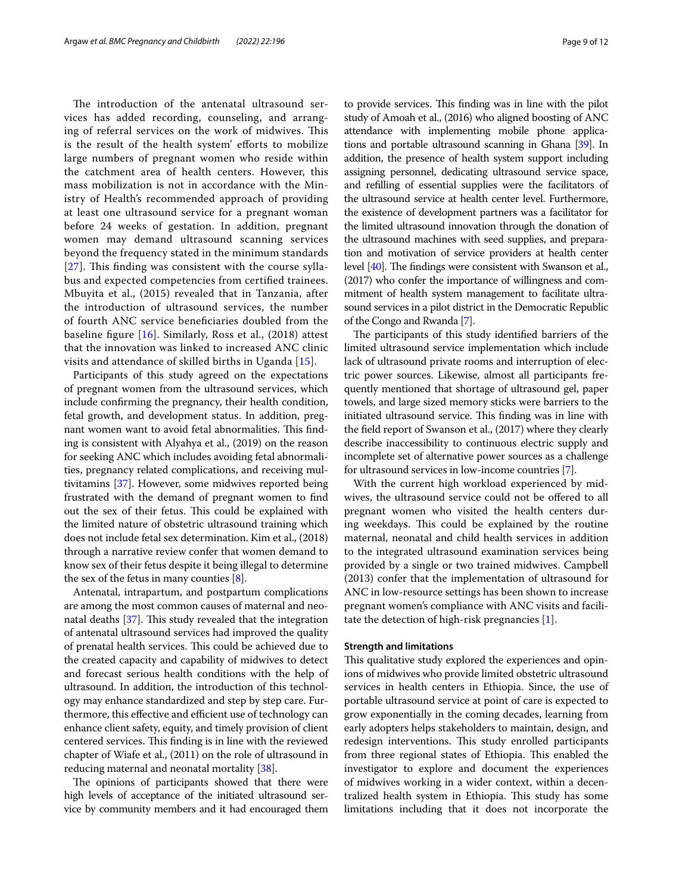The introduction of the antenatal ultrasound services has added recording, counseling, and arranging of referral services on the work of midwives. This is the result of the health system' eforts to mobilize large numbers of pregnant women who reside within the catchment area of health centers. However, this mass mobilization is not in accordance with the Ministry of Health's recommended approach of providing at least one ultrasound service for a pregnant woman before 24 weeks of gestation. In addition, pregnant women may demand ultrasound scanning services beyond the frequency stated in the minimum standards  $[27]$  $[27]$  $[27]$ . This finding was consistent with the course syllabus and expected competencies from certifed trainees. Mbuyita et al., (2015) revealed that in Tanzania, after the introduction of ultrasound services, the number of fourth ANC service benefciaries doubled from the baseline fgure [\[16\]](#page-10-31). Similarly, Ross et al., (2018) attest that the innovation was linked to increased ANC clinic visits and attendance of skilled births in Uganda [[15\]](#page-10-15).

Participants of this study agreed on the expectations of pregnant women from the ultrasound services, which include confrming the pregnancy, their health condition, fetal growth, and development status. In addition, pregnant women want to avoid fetal abnormalities. This finding is consistent with Alyahya et al., (2019) on the reason for seeking ANC which includes avoiding fetal abnormalities, pregnancy related complications, and receiving multivitamins [[37](#page-11-0)]. However, some midwives reported being frustrated with the demand of pregnant women to fnd out the sex of their fetus. This could be explained with the limited nature of obstetric ultrasound training which does not include fetal sex determination. Kim et al., (2018) through a narrative review confer that women demand to know sex of their fetus despite it being illegal to determine the sex of the fetus in many counties  $[8]$  $[8]$ .

Antenatal, intrapartum, and postpartum complications are among the most common causes of maternal and neonatal deaths  $[37]$  $[37]$ . This study revealed that the integration of antenatal ultrasound services had improved the quality of prenatal health services. This could be achieved due to the created capacity and capability of midwives to detect and forecast serious health conditions with the help of ultrasound. In addition, the introduction of this technology may enhance standardized and step by step care. Furthermore, this effective and efficient use of technology can enhance client safety, equity, and timely provision of client centered services. This finding is in line with the reviewed chapter of Wiafe et al., (2011) on the role of ultrasound in reducing maternal and neonatal mortality [[38](#page-11-1)].

The opinions of participants showed that there were high levels of acceptance of the initiated ultrasound service by community members and it had encouraged them to provide services. This finding was in line with the pilot study of Amoah et al., (2016) who aligned boosting of ANC attendance with implementing mobile phone applications and portable ultrasound scanning in Ghana [\[39](#page-11-2)]. In addition, the presence of health system support including assigning personnel, dedicating ultrasound service space, and reflling of essential supplies were the facilitators of the ultrasound service at health center level. Furthermore, the existence of development partners was a facilitator for the limited ultrasound innovation through the donation of the ultrasound machines with seed supplies, and preparation and motivation of service providers at health center level  $[40]$  $[40]$ . The findings were consistent with Swanson et al., (2017) who confer the importance of willingness and commitment of health system management to facilitate ultrasound services in a pilot district in the Democratic Republic of the Congo and Rwanda [[7](#page-10-6)].

The participants of this study identified barriers of the limited ultrasound service implementation which include lack of ultrasound private rooms and interruption of electric power sources. Likewise, almost all participants frequently mentioned that shortage of ultrasound gel, paper towels, and large sized memory sticks were barriers to the initiated ultrasound service. This finding was in line with the feld report of Swanson et al., (2017) where they clearly describe inaccessibility to continuous electric supply and incomplete set of alternative power sources as a challenge for ultrasound services in low-income countries [[7](#page-10-6)].

With the current high workload experienced by midwives, the ultrasound service could not be ofered to all pregnant women who visited the health centers during weekdays. This could be explained by the routine maternal, neonatal and child health services in addition to the integrated ultrasound examination services being provided by a single or two trained midwives. Campbell (2013) confer that the implementation of ultrasound for ANC in low-resource settings has been shown to increase pregnant women's compliance with ANC visits and facilitate the detection of high-risk pregnancies [[1\]](#page-10-0).

# **Strength and limitations**

This qualitative study explored the experiences and opinions of midwives who provide limited obstetric ultrasound services in health centers in Ethiopia. Since, the use of portable ultrasound service at point of care is expected to grow exponentially in the coming decades, learning from early adopters helps stakeholders to maintain, design, and redesign interventions. This study enrolled participants from three regional states of Ethiopia. This enabled the investigator to explore and document the experiences of midwives working in a wider context, within a decentralized health system in Ethiopia. This study has some limitations including that it does not incorporate the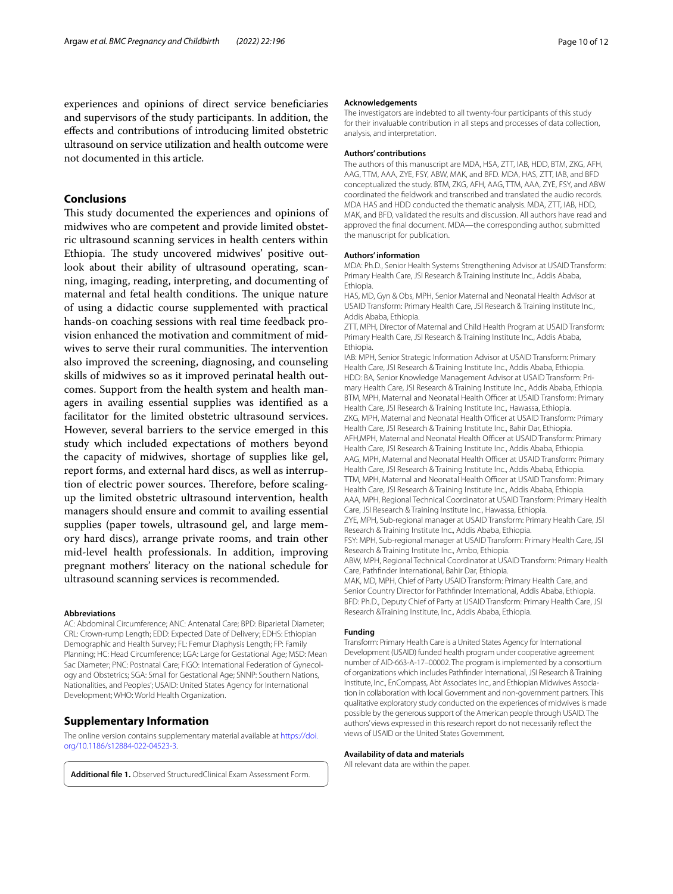experiences and opinions of direct service benefciaries and supervisors of the study participants. In addition, the efects and contributions of introducing limited obstetric ultrasound on service utilization and health outcome were not documented in this article.

# **Conclusions**

This study documented the experiences and opinions of midwives who are competent and provide limited obstetric ultrasound scanning services in health centers within Ethiopia. The study uncovered midwives' positive outlook about their ability of ultrasound operating, scanning, imaging, reading, interpreting, and documenting of maternal and fetal health conditions. The unique nature of using a didactic course supplemented with practical hands-on coaching sessions with real time feedback provision enhanced the motivation and commitment of midwives to serve their rural communities. The intervention also improved the screening, diagnosing, and counseling skills of midwives so as it improved perinatal health outcomes. Support from the health system and health managers in availing essential supplies was identifed as a facilitator for the limited obstetric ultrasound services. However, several barriers to the service emerged in this study which included expectations of mothers beyond the capacity of midwives, shortage of supplies like gel, report forms, and external hard discs, as well as interruption of electric power sources. Therefore, before scalingup the limited obstetric ultrasound intervention, health managers should ensure and commit to availing essential supplies (paper towels, ultrasound gel, and large memory hard discs), arrange private rooms, and train other mid-level health professionals. In addition, improving pregnant mothers' literacy on the national schedule for ultrasound scanning services is recommended.

#### **Abbreviations**

AC: Abdominal Circumference; ANC: Antenatal Care; BPD: Biparietal Diameter; CRL: Crown-rump Length; EDD: Expected Date of Delivery; EDHS: Ethiopian Demographic and Health Survey; FL: Femur Diaphysis Length; FP: Family Planning; HC: Head Circumference; LGA: Large for Gestational Age; MSD: Mean Sac Diameter; PNC: Postnatal Care; FIGO: International Federation of Gynecology and Obstetrics; SGA: Small for Gestational Age; SNNP: Southern Nations, Nationalities, and Peoples'; USAID: United States Agency for International Development; WHO: World Health Organization.

# **Supplementary Information**

The online version contains supplementary material available at [https://doi.](https://doi.org/10.1186/s12884-022-04523-3) [org/10.1186/s12884-022-04523-3](https://doi.org/10.1186/s12884-022-04523-3).

<span id="page-9-0"></span>**Additional fle 1.** Observed StructuredClinical Exam Assessment Form.

#### **Acknowledgements**

The investigators are indebted to all twenty-four participants of this study for their invaluable contribution in all steps and processes of data collection, analysis, and interpretation.

#### **Authors' contributions**

The authors of this manuscript are MDA, HSA, ZTT, IAB, HDD, BTM, ZKG, AFH, AAG, TTM, AAA, ZYE, FSY, ABW, MAK, and BFD. MDA, HAS, ZTT, IAB, and BFD conceptualized the study. BTM, ZKG, AFH, AAG, TTM, AAA, ZYE, FSY, and ABW coordinated the feldwork and transcribed and translated the audio records. MDA HAS and HDD conducted the thematic analysis. MDA, ZTT, IAB, HDD, MAK, and BFD, validated the results and discussion. All authors have read and approved the fnal document. MDA—the corresponding author, submitted the manuscript for publication.

#### **Authors' information**

MDA: Ph.D., Senior Health Systems Strengthening Advisor at USAID Transform: Primary Health Care, JSI Research & Training Institute Inc., Addis Ababa, Ethiopia.

HAS, MD, Gyn & Obs, MPH, Senior Maternal and Neonatal Health Advisor at USAID Transform: Primary Health Care, JSI Research & Training Institute Inc., Addis Ababa, Ethiopia.

ZTT, MPH, Director of Maternal and Child Health Program at USAID Transform: Primary Health Care, JSI Research & Training Institute Inc., Addis Ababa, Ethiopia.

IAB: MPH, Senior Strategic Information Advisor at USAID Transform: Primary Health Care, JSI Research & Training Institute Inc., Addis Ababa, Ethiopia. HDD: BA, Senior Knowledge Management Advisor at USAID Transform: Primary Health Care, JSI Research & Training Institute Inc., Addis Ababa, Ethiopia. BTM, MPH, Maternal and Neonatal Health Officer at USAID Transform: Primary Health Care, JSI Research & Training Institute Inc., Hawassa, Ethiopia. ZKG, MPH, Maternal and Neonatal Health Officer at USAID Transform: Primary Health Care, JSI Research & Training Institute Inc., Bahir Dar, Ethiopia. AFH,MPH, Maternal and Neonatal Health Officer at USAID Transform: Primary Health Care, JSI Research & Training Institute Inc., Addis Ababa, Ethiopia. AAG, MPH, Maternal and Neonatal Health Officer at USAID Transform: Primary Health Care, JSI Research & Training Institute Inc., Addis Ababa, Ethiopia. TTM, MPH, Maternal and Neonatal Health Officer at USAID Transform: Primary Health Care, JSI Research & Training Institute Inc., Addis Ababa, Ethiopia. AAA, MPH, Regional Technical Coordinator at USAID Transform: Primary Health Care, JSI Research & Training Institute Inc., Hawassa, Ethiopia. ZYE, MPH, Sub-regional manager at USAID Transform: Primary Health Care, JSI Research & Training Institute Inc., Addis Ababa, Ethiopia. FSY: MPH, Sub-regional manager at USAID Transform: Primary Health Care, JSI Research & Training Institute Inc., Ambo, Ethiopia. ABW, MPH, Regional Technical Coordinator at USAID Transform: Primary Health Care, Pathfnder International, Bahir Dar, Ethiopia.

MAK, MD, MPH, Chief of Party USAID Transform: Primary Health Care, and Senior Country Director for Pathfnder International, Addis Ababa, Ethiopia. BFD: Ph.D., Deputy Chief of Party at USAID Transform: Primary Health Care, JSI Research &Training Institute, Inc., Addis Ababa, Ethiopia.

#### **Funding**

Transform: Primary Health Care is a United States Agency for International Development (USAID) funded health program under cooperative agreement number of AID-663-A-17–00002. The program is implemented by a consortium of organizations which includes Pathfnder International, JSI Research & Training Institute, Inc., EnCompass, Abt Associates Inc., and Ethiopian Midwives Association in collaboration with local Government and non-government partners. This qualitative exploratory study conducted on the experiences of midwives is made possible by the generous support of the American people through USAID. The authors' views expressed in this research report do not necessarily refect the views of USAID or the United States Government.

#### **Availability of data and materials**

All relevant data are within the paper.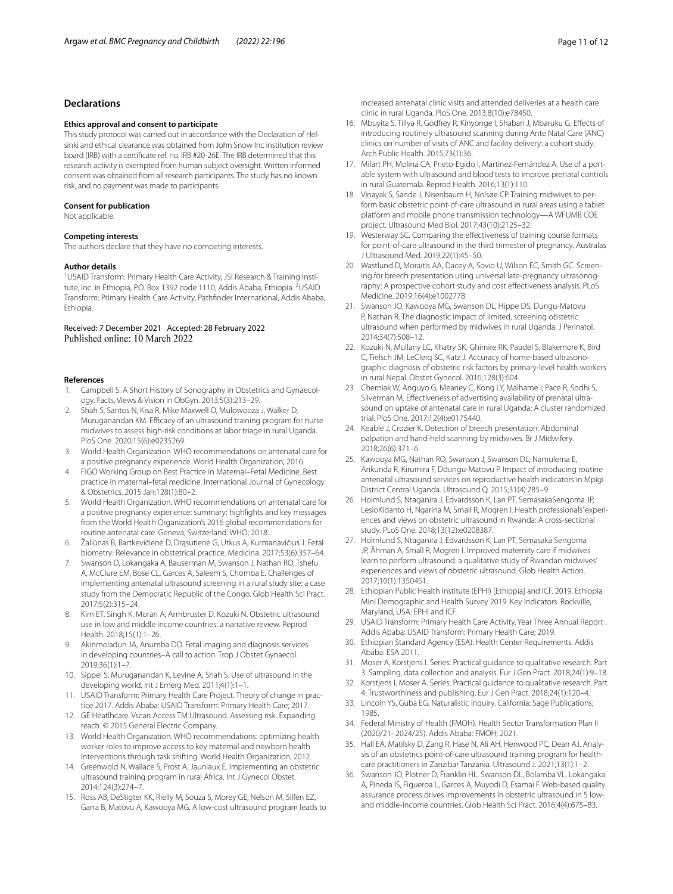# **Declarations**

#### **Ethics approval and consent to participate**

This study protocol was carried out in accordance with the Declaration of Helsinki and ethical clearance was obtained from John Snow Inc institution review board (IRB) with a certifcate ref. no. IRB #20-26E. The IRB determined that this research activity is exempted from human subject oversight. Written informed consent was obtained from all research participants. The study has no known risk, and no payment was made to participants.

#### **Consent for publication**

Not applicable.

#### **Competing interests**

The authors declare that they have no competing interests.

#### **Author details**

<sup>1</sup>USAID Transform: Primary Health Care Activity, JSI Research & Training Institute, Inc. in Ethiopia, P.O. Box 1392 code 1110, Addis Ababa, Ethiopia. <sup>2</sup>USAID Transform: Primary Health Care Activity, Pathfnder International, Addis Ababa, Ethiopia.

#### Received: 7 December 2021 Accepted: 28 February 2022 Published online: 10 March 2022

#### **References**

- <span id="page-10-0"></span>1. Campbell S. A Short History of Sonography in Obstetrics and Gynaecology. Facts, Views & Vision in ObGyn. 2013;5(3):213–29.
- <span id="page-10-1"></span>Shah S, Santos N, Kisa R, Mike Maxwell O, Mulowooza J, Walker D, Muruganandan KM. Efficacy of an ultrasound training program for nurse midwives to assess high-risk conditions at labor triage in rural Uganda. PloS One. 2020;15(6):e0235269.
- <span id="page-10-2"></span>3. World Health Organization. WHO recommendations on antenatal care for a positive pregnancy experience. World Health Organization; 2016.
- <span id="page-10-3"></span>4. FIGO Working Group on Best Practice in Maternal–Fetal Medicine. Best practice in maternal–fetal medicine. International Journal of Gynecology & Obstetrics. 2015 Jan;128(1):80–2.
- <span id="page-10-4"></span>5. World Health Organization. WHO recommendations on antenatal care for a positive pregnancy experience: summary: highlights and key messages from the World Health Organization's 2016 global recommendations for routine antenatal care. Geneva, Switzerland: WHO; 2018.
- <span id="page-10-5"></span>6. Žaliūnas B, Bartkevičienė D, Drąsutienė G, Utkus A, Kurmanavičius J. Fetal biometry: Relevance in obstetrical practice. Medicina. 2017;53(6):357–64.
- <span id="page-10-6"></span>7. Swanson D, Lokangaka A, Bauserman M, Swanson J, Nathan RO, Tshefu A, McClure EM, Bose CL, Garces A, Saleem S, Chomba E. Challenges of implementing antenatal ultrasound screening in a rural study site: a case study from the Democratic Republic of the Congo. Glob Health Sci Pract. 2017;5(2):315–24.
- <span id="page-10-7"></span>8. Kim ET, Singh K, Moran A, Armbruster D, Kozuki N. Obstetric ultrasound use in low and middle income countries: a narrative review. Reprod Health. 2018;15(1):1–26.
- <span id="page-10-8"></span>9. Akinmoladun JA, Anumba DO. Fetal imaging and diagnosis services in developing countries–A call to action. Trop J Obstet Gynaecol. 2019;36(1):1–7.
- <span id="page-10-9"></span>10. Sippel S, Muruganandan K, Levine A, Shah S. Use of ultrasound in the developing world. Int J Emerg Med. 2011;4(1):1–1.
- <span id="page-10-10"></span>11. USAID Transform: Primary Health Care Project. Theory of change in practice 2017. Addis Ababa: USAID Transform: Primary Health Care; 2017.
- <span id="page-10-11"></span>12. GE Heatlhcare. Vscan Access TM Ultrasound. Assessing risk. Expanding reach. © 2015 General Electric Company.
- <span id="page-10-12"></span>13. World Health Organization. WHO recommendations: optimizing health worker roles to improve access to key maternal and newborn health interventions through task shifting. World Health Organization; 2012.
- <span id="page-10-13"></span>14. Greenwold N, Wallace S, Prost A, Jauniaux E. Implementing an obstetric ultrasound training program in rural Africa. Int J Gynecol Obstet. 2014;124(3):274–7.
- <span id="page-10-15"></span>15. Ross AB, DeStigter KK, Rielly M, Souza S, Morey GE, Nelson M, Silfen EZ, Garra B, Matovu A, Kawooya MG. A low-cost ultrasound program leads to

increased antenatal clinic visits and attended deliveries at a health care clinic in rural Uganda. PloS One. 2013;8(10):e78450.

- <span id="page-10-31"></span>16. Mbuyita S, Tillya R, Godfrey R, Kinyonge I, Shaban J, Mbaruku G. Efects of introducing routinely ultrasound scanning during Ante Natal Care (ANC) clinics on number of visits of ANC and facility delivery: a cohort study. Arch Public Health. 2015;73(1):36.
- <span id="page-10-18"></span>17. Milart PH, Molina CA, Prieto-Egido I, Martínez-Fernández A. Use of a portable system with ultrasound and blood tests to improve prenatal controls in rural Guatemala. Reprod Health. 2016;13(1):110.
- 18. Vinayak S, Sande J, Nisenbaum H, Nolsøe CP. Training midwives to perform basic obstetric point-of-care ultrasound in rural areas using a tablet platform and mobile phone transmission technology—A WFUMB COE project. Ultrasound Med Biol. 2017;43(10):2125–32.
- <span id="page-10-28"></span>19. Westerway SC. Comparing the efectiveness of training course formats for point-of-care ultrasound in the third trimester of pregnancy. Australas J Ultrasound Med. 2019;22(1):45–50.
- 20. Wastlund D, Moraitis AA, Dacey A, Sovio U, Wilson EC, Smith GC. Screening for breech presentation using universal late-pregnancy ultrasonography: A prospective cohort study and cost efectiveness analysis. PLoS Medicine. 2019;16(4):e1002778.
- 21. Swanson JO, Kawooya MG, Swanson DL, Hippe DS, Dungu-Matovu P, Nathan R. The diagnostic impact of limited, screening obstetric ultrasound when performed by midwives in rural Uganda. J Perinatol. 2014;34(7):508–12.
- 22. Kozuki N, Mullany LC, Khatry SK, Ghimire RK, Paudel S, Blakemore K, Bird C, Tielsch JM, LeClerq SC, Katz J. Accuracy of home-based ultrasonographic diagnosis of obstetric risk factors by primary-level health workers in rural Nepal. Obstet Gynecol. 2016;128(3):604.
- <span id="page-10-16"></span>23. Cherniak W, Anguyo G, Meaney C, Kong LY, Malhame I, Pace R, Sodhi S, Silverman M. Efectiveness of advertising availability of prenatal ultrasound on uptake of antenatal care in rural Uganda: A cluster randomized trial. PloS One. 2017;12(4):e0175440.
- <span id="page-10-19"></span>24. Keable J, Crozier K. Detection of breech presentation: Abdominal palpation and hand-held scanning by midwives. Br J Midwifery. 2018;26(6):371–6.
- <span id="page-10-17"></span>25. Kawooya MG, Nathan RO, Swanson J, Swanson DL, Namulema E, Ankunda R, Kirumira F, Ddungu-Matovu P. Impact of introducing routine antenatal ultrasound services on reproductive health indicators in Mpigi District Central Uganda. Ultrasound Q. 2015;31(4):285–9.
- <span id="page-10-20"></span>26. Holmlund S, Ntaganira J, Edvardsson K, Lan PT, SemasakaSengoma JP, LesioKidanto H, Ngarina M, Small R, Mogren I. Health professionals' experiences and views on obstetric ultrasound in Rwanda: A cross-sectional study. PLoS One. 2018;13(12):e0208387.
- <span id="page-10-14"></span>27. Holmlund S, Ntaganira J, Edvardsson K, Lan PT, Semasaka Sengoma JP, Åhman A, Small R, Mogren I. Improved maternity care if midwives learn to perform ultrasound: a qualitative study of Rwandan midwives' experiences and views of obstetric ultrasound. Glob Health Action. 2017;10(1):1350451.
- <span id="page-10-21"></span>28. Ethiopian Public Health Institute (EPHI) [Ethiopia] and ICF. 2019. Ethiopia Mini Demographic and Health Survey 2019: Key Indicators. Rockville, Maryland, USA: EPHI and ICF.
- <span id="page-10-22"></span>29. USAID Transform: Primary Health Care Activity. Year Three Annual Report . Addis Ababa: USAID Transform: Primary Health Care; 2019.
- <span id="page-10-23"></span>30. Ethiopian Standard Agency (ESA). Health Center Requirements. Addis Ababa: ESA 2011.
- <span id="page-10-24"></span>31. Moser A, Korstjens I. Series: Practical guidance to qualitative research. Part 3: Sampling, data collection and analysis. Eur J Gen Pract. 2018;24(1):9–18.
- <span id="page-10-25"></span>32. Korstjens I, Moser A. Series: Practical guidance to qualitative research. Part 4: Trustworthiness and publishing. Eur J Gen Pract. 2018;24(1):120–4.
- <span id="page-10-26"></span>33. Lincoln YS, Guba EG. Naturalistic inquiry. California: Sage Publications; 1985.
- <span id="page-10-27"></span>34. Federal Ministry of Health (FMOH). Health Sector Transformation Plan II (2020/21- 2024/25). Addis Ababa: FMOH; 2021.
- <span id="page-10-29"></span>35. Hall EA, Matilsky D, Zang R, Hase N, Ali AH, Henwood PC, Dean AJ. Analysis of an obstetrics point-of-care ultrasound training program for healthcare practitioners in Zanzibar Tanzania. Ultrasound J. 2021;13(1):1–2.
- <span id="page-10-30"></span>36. Swanson JO, Plotner D, Franklin HL, Swanson DL, Bolamba VL, Lokangaka A, Pineda IS, Figueroa L, Garces A, Muyodi D, Esamai F. Web-based quality assurance process drives improvements in obstetric ultrasound in 5 lowand middle-income countries. Glob Health Sci Pract. 2016;4(4):675–83.